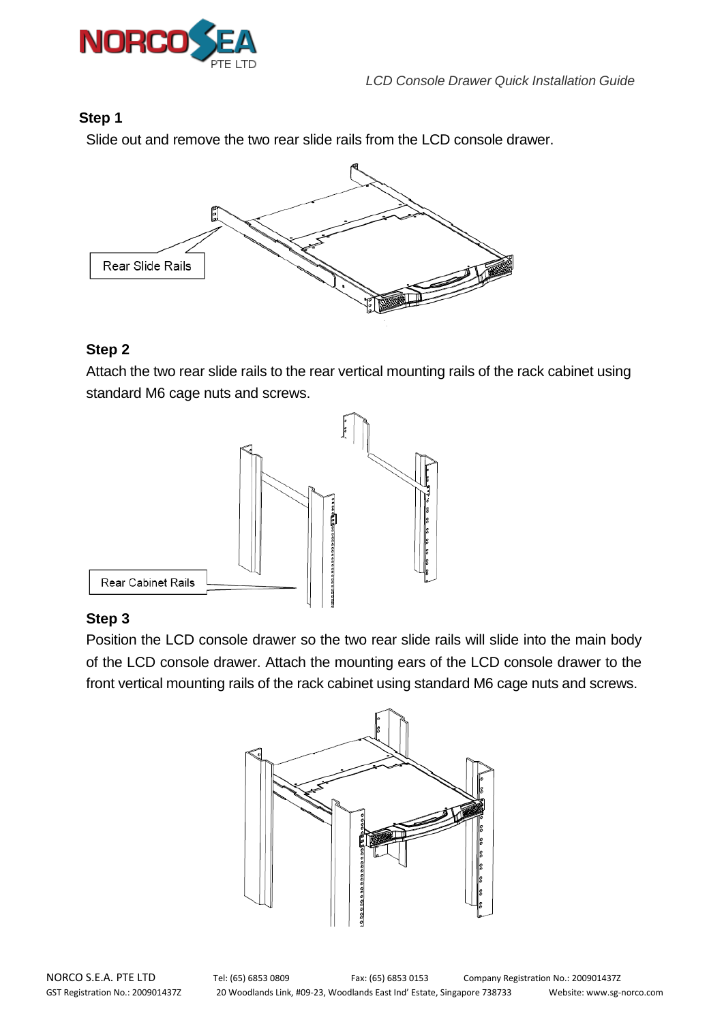

## **Step 1**

Slide out and remove the two rear slide rails from the LCD console drawer.



## **Step 2**

Attach the two rear slide rails to the rear vertical mounting rails of the rack cabinet using standard M6 cage nuts and screws.



## **Step 3**

Position the LCD console drawer so the two rear slide rails will slide into the main body of the LCD console drawer. Attach the mounting ears of the LCD console drawer to the front vertical mounting rails of the rack cabinet using standard M6 cage nuts and screws.